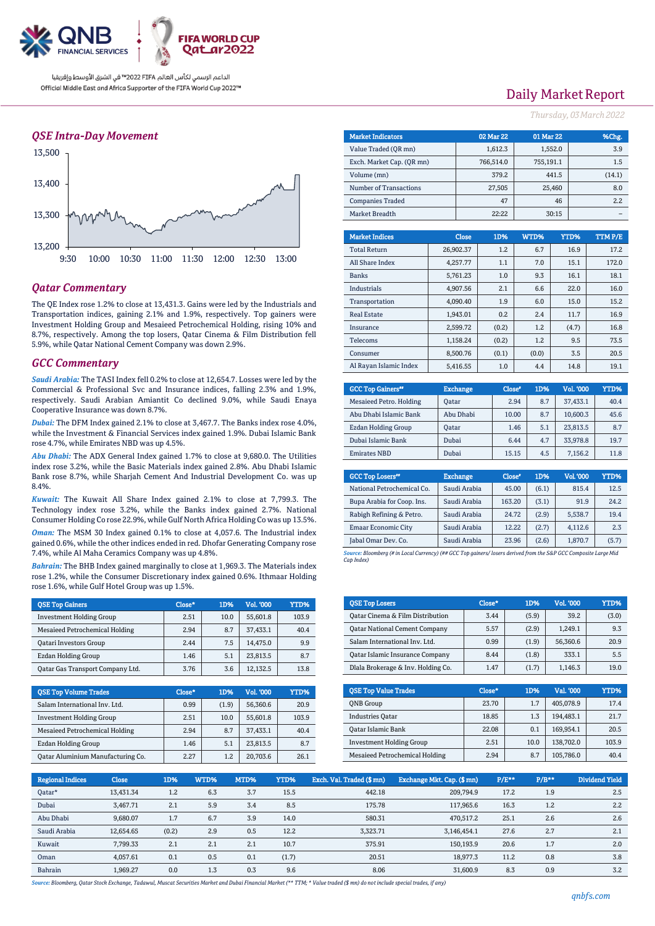

### *QSE Intra-Day Movement*



### *Qatar Commentary*

The QE Index rose 1.2% to close at 13,431.3. Gains were led by the Industrials and Transportation indices, gaining 2.1% and 1.9%, respectively. Top gainers were Investment Holding Group and Mesaieed Petrochemical Holding, rising 10% and 8.7%, respectively. Among the top losers, Qatar Cinema & Film Distribution fell 5.9%, while Qatar National Cement Company was down 2.9%.

### *GCC Commentary*

*Saudi Arabia:* The TASI Index fell 0.2% to close at 12,654.7. Losses were led by the Commercial & Professional Svc and Insurance indices, falling 2.3% and 1.9%, respectively. Saudi Arabian Amiantit Co declined 9.0%, while Saudi Enaya Cooperative Insurance was down 8.7%.

*Dubai:* The DFM Index gained 2.1% to close at 3,467.7. The Banks index rose 4.0%, while the Investment & Financial Services index gained 1.9%. Dubai Islamic Bank rose 4.7%, while Emirates NBD was up 4.5%.

*Abu Dhabi:* The ADX General Index gained 1.7% to close at 9,680.0. The Utilities index rose 3.2%, while the Basic Materials index gained 2.8%. Abu Dhabi Islamic Bank rose 8.7%, while Sharjah Cement And Industrial Development Co. was up 8.4%.

*Kuwait:* The Kuwait All Share Index gained 2.1% to close at 7,799.3. The Technology index rose 3.2%, while the Banks index gained 2.7%. National Consumer Holding Co rose 22.9%, while Gulf North Africa Holding Co was up 13.5%.

*Oman:* The MSM 30 Index gained 0.1% to close at 4,057.6. The Industrial index gained 0.6%, while the other indices ended in red. Dhofar Generating Company rose 7.4%, while Al Maha Ceramics Company was up 4.8%.

*Bahrain:* The BHB Index gained marginally to close at 1,969.3. The Materials index rose 1.2%, while the Consumer Discretionary index gained 0.6%. Ithmaar Holding rose 1.6%, while Gulf Hotel Group was up 1.5%.

| <b>OSE Top Gainers</b>                | Close* | 1D%  | Vol. '000 | YTD%  |
|---------------------------------------|--------|------|-----------|-------|
| <b>Investment Holding Group</b>       | 2.51   | 10.0 | 55,601.8  | 103.9 |
| <b>Mesaieed Petrochemical Holding</b> | 2.94   | 8.7  | 37.433.1  | 40.4  |
| <b>Oatari Investors Group</b>         | 2.44   | 7.5  | 14.475.0  | 9.9   |
| Ezdan Holding Group                   | 1.46   | 5.1  | 23.813.5  | 8.7   |
| Oatar Gas Transport Company Ltd.      | 3.76   | 3.6  | 12.132.5  | 13.8  |

| <b>QSE Top Volume Trades</b>      | Close* | 1D%   | Vol. '000 | YTD%  |
|-----------------------------------|--------|-------|-----------|-------|
| Salam International Inv. Ltd.     | 0.99   | (1.9) | 56,360.6  | 20.9  |
| <b>Investment Holding Group</b>   | 2.51   | 10.0  | 55,601.8  | 103.9 |
| Mesaieed Petrochemical Holding    | 2.94   | 8.7   | 37.433.1  | 40.4  |
| Ezdan Holding Group               | 1.46   | 5.1   | 23.813.5  | 8.7   |
| Oatar Aluminium Manufacturing Co. | 2.27   | 1.2   | 20.703.6  | 26.1  |

## Daily Market Report

*Thursday, 03March2022*

| <b>Market Indicators</b>  |           |              | 02 Mar 22 | 01 Mar 22 |        |     | %Chg.   |
|---------------------------|-----------|--------------|-----------|-----------|--------|-----|---------|
| Value Traded (OR mn)      |           |              | 1,612.3   | 1,552.0   |        | 3.9 |         |
| Exch. Market Cap. (QR mn) | 766,514.0 |              | 755,191.1 |           |        | 1.5 |         |
| Volume (mn)               |           |              | 379.2     |           | 441.5  |     | (14.1)  |
| Number of Transactions    |           |              | 27,505    |           | 25,460 |     | 8.0     |
| <b>Companies Traded</b>   |           |              | 47        |           | 46     |     | 2.2     |
| Market Breadth            |           |              |           |           | 30:15  |     |         |
|                           |           |              |           |           |        |     |         |
| <b>Market Indices</b>     |           | <b>Close</b> | 1D%       | WTD%      | YTD%   |     | TTM P/E |
| <b>Total Return</b>       |           | 26,902.37    | 1.2       | 6.7       | 16.9   |     | 17.2    |
| All Share Index           |           | 4,257.77     | 1.1       | 7.0       | 15.1   |     | 172.0   |
| <b>Banks</b>              |           | 5,761.23     | 1.0       | 9.3       | 16.1   |     | 18.1    |
| <b>Industrials</b>        |           | 4,907.56     | 2.1       | 6.6       | 22.0   |     | 16.0    |
| Transportation            |           | 4,090.40     | 1.9       | 6.0       | 15.0   |     | 15.2    |
| <b>Real Estate</b>        |           | 1,943.01     | 0.2       | 2.4       | 11.7   |     | 16.9    |
| Insurance                 |           | 2,599.72     | (0.2)     | 1.2       | (4.7)  |     | 16.8    |
| Telecoms                  |           | 1,158.24     | (0.2)     | 1.2       | 9.5    |     | 73.5    |

| <b>GCC Top Gainers</b> " | <b>Exchange</b> | Close* | 1D% | Vol. '000 | YTD% |
|--------------------------|-----------------|--------|-----|-----------|------|
| Mesaieed Petro. Holding  | Oatar           | 2.94   | 8.7 | 37,433.1  | 40.4 |
| Abu Dhabi Islamic Bank   | Abu Dhabi       | 10.00  | 8.7 | 10.600.3  | 45.6 |
| Ezdan Holding Group      | <b>Oatar</b>    | 1.46   | 5.1 | 23.813.5  | 8.7  |
| Dubai Islamic Bank       | Dubai           | 6.44   | 4.7 | 33.978.8  | 19.7 |
| <b>Emirates NBD</b>      | Dubai           | 15.15  | 4.5 | 7,156.2   | 11.8 |

Consumer 8,500.76 (0.1) (0.0) 3.5 20.5 Al Rayan Islamic Index 5,416.55 1.0 4.4 14.8 19.1

| <b>GCC Top Losers</b> "    | <b>Exchange</b> | Close <sup>e</sup> | 1D%   | Vol. '000 | YTD%  |
|----------------------------|-----------------|--------------------|-------|-----------|-------|
| National Petrochemical Co. | Saudi Arabia    | 45.00              | (6.1) | 815.4     | 12.5  |
| Bupa Arabia for Coop. Ins. | Saudi Arabia    | 163.20             | (3.1) | 91.9      | 24.2  |
| Rabigh Refining & Petro.   | Saudi Arabia    | 24.72              | (2.9) | 5,538.7   | 19.4  |
| <b>Emaar Economic City</b> | Saudi Arabia    | 12.22              | (2.7) | 4.112.6   | 2.3   |
| Jabal Omar Dev. Co.        | Saudi Arabia    | 23.96              | (2.6) | 1,870.7   | (5.7) |

*Source: Bloomberg (# in Local Currency) (## GCC Top gainers/ losers derived from the S&P GCC Composite Large Mid Cap Index)*

| <b>QSE Top Losers</b>                  | Close* | 1D%   | <b>Vol. '000</b> | YTD%  |
|----------------------------------------|--------|-------|------------------|-------|
| Oatar Cinema & Film Distribution       | 3.44   | (5.9) | 39.2             | (3.0) |
| <b>Qatar National Cement Company</b>   | 5.57   | (2.9) | 1.249.1          | 9.3   |
| Salam International Inv. Ltd.          | 0.99   | (1.9) | 56,360.6         | 20.9  |
| <b>Qatar Islamic Insurance Company</b> | 8.44   | (1.8) | 333.1            | 5.5   |
| Dlala Brokerage & Inv. Holding Co.     | 1.47   | (1.7) | 1,146.3          | 19.0  |

| <b>OSE Top Value Trades</b>     | Close* | 1D%  | Val. '000 | YTD%  |
|---------------------------------|--------|------|-----------|-------|
| <b>ONB</b> Group                | 23.70  | 1.7  | 405,078.9 | 17.4  |
| <b>Industries Oatar</b>         | 18.85  | 1.3  | 194.483.1 | 21.7  |
| Qatar Islamic Bank              | 22.08  | 0.1  | 169.954.1 | 20.5  |
| <b>Investment Holding Group</b> | 2.51   | 10.0 | 138,702.0 | 103.9 |
| Mesaieed Petrochemical Holding  | 2.94   | 8.7  | 105,786.0 | 40.4  |

| <b>Regional Indices</b> | <b>Close</b> | 1D%   | WTD% | MTD% | <b>YTD%</b> | Exch. Val. Traded (\$mn) | Exchange Mkt. Cap. (\$ mn) | $P/E***$ | $P/B**$ | <b>Dividend Yield</b> |
|-------------------------|--------------|-------|------|------|-------------|--------------------------|----------------------------|----------|---------|-----------------------|
| Oatar*                  | 13,431.34    | 1.2   | 6.3  | 3.7  | 15.5        | 442.18                   | 209,794.9                  | 17.2     | 1.9     | 2.5                   |
| Dubai                   | 3.467.71     | 2.1   | 5.9  | 3.4  | 8.5         | 175.78                   | 117,965.6                  | 16.3     | 1.2     | 2.2                   |
| Abu Dhabi               | 9.680.07     | 1.7   | 6.7  | 3.9  | 14.0        | 580.31                   | 470.517.2                  | 25.1     | 2.6     | 2.6                   |
| Saudi Arabia            | 12.654.65    | (0.2) | 2.9  | 0.5  | 12.2        | 3.323.71                 | 3,146,454.1                | 27.6     | 2.7     | 2.1                   |
| Kuwait                  | 7,799.33     | 2.1   | 2.1  | 2.1  | 10.7        | 375.91                   | 150.193.9                  | 20.6     | 1.7     | 2.0                   |
| Oman                    | 4.057.61     | 0.1   | 0.5  | 0.1  | (1.7)       | 20.51                    | 18.977.3                   | 11.2     | 0.8     | 3.8                   |
| Bahrain                 | 1,969.27     | 0.0   | 1.3  | 0.3  | 9.6         | 8.06                     | 31,600.9                   | 8.3      | 0.9     | 3.2                   |

*Source: Bloomberg, Qatar Stock Exchange, Tadawul, Muscat Securities Market and Dubai Financial Market (\*\* TTM; \* Value traded (\$ mn) do not include special trades, if any)*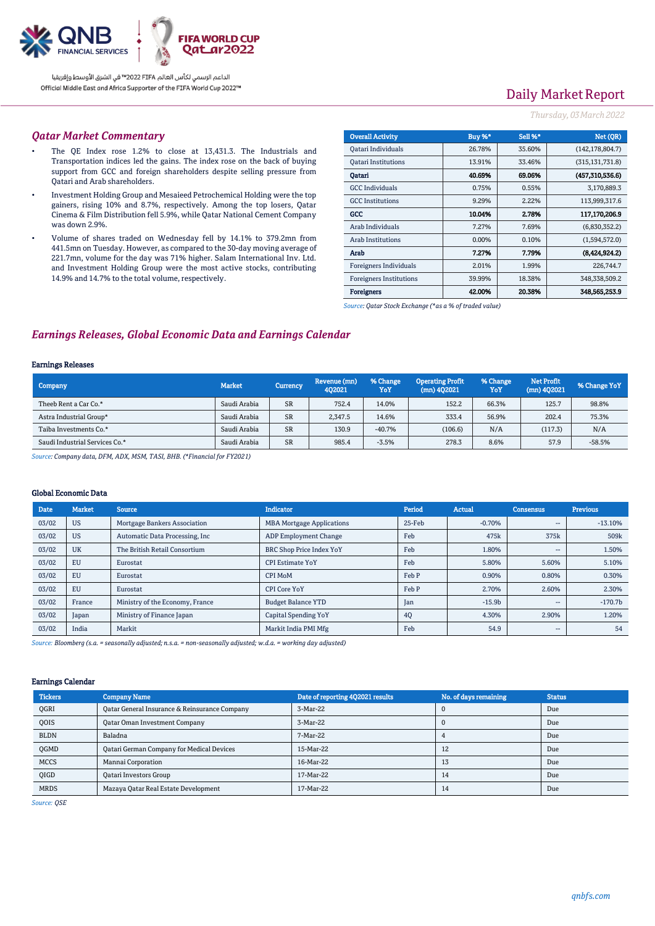

# Daily Market Report

### *Thursday, 03March2022*

### *Qatar Market Commentary*

- The QE Index rose 1.2% to close at 13,431.3. The Industrials and Transportation indices led the gains. The index rose on the back of buying support from GCC and foreign shareholders despite selling pressure from Qatari and Arab shareholders.
- Investment Holding Group and Mesaieed Petrochemical Holding were the top gainers, rising 10% and 8.7%, respectively. Among the top losers, Qatar Cinema & Film Distribution fell 5.9%, while Qatar National Cement Company was down 2.9%.
- Volume of shares traded on Wednesday fell by 14.1% to 379.2mn from 441.5mn on Tuesday. However, as compared to the 30-day moving average of 221.7mn, volume for the day was 71% higher. Salam International Inv. Ltd. and Investment Holding Group were the most active stocks, contributing 14.9% and 14.7% to the total volume, respectively.

| <b>Overall Activity</b>        | Buy %*   | Sell %* | Net (OR)          |
|--------------------------------|----------|---------|-------------------|
| Qatari Individuals             | 26.78%   | 35.60%  | (142, 178, 804.7) |
| <b>Oatari Institutions</b>     | 13.91%   | 33.46%  | (315, 131, 731.8) |
| Oatari                         | 40.69%   | 69.06%  | (457,310,536.6)   |
| <b>GCC</b> Individuals         | 0.75%    | 0.55%   | 3,170,889.3       |
| <b>GCC</b> Institutions        | 9.29%    | 2.22%   | 113,999,317.6     |
| GCC                            | 10.04%   | 2.78%   | 117,170,206.9     |
| Arab Individuals               | 7.27%    | 7.69%   | (6,830,352.2)     |
| <b>Arab Institutions</b>       | $0.00\%$ | 0.10%   | (1,594,572.0)     |
| Arab                           | 7.27%    | 7.79%   | (8,424,924.2)     |
| Foreigners Individuals         | 2.01%    | 1.99%   | 226,744.7         |
| <b>Foreigners Institutions</b> | 39.99%   | 18.38%  | 348,338,509.2     |
| <b>Foreigners</b>              | 42.00%   | 20.38%  | 348,565,253.9     |

*Source: Qatar Stock Exchange (\*as a % of traded value)*

### *Earnings Releases, Global Economic Data and Earnings Calendar*

#### Earnings Releases

| Company                        | <b>Market</b> | Currency  | Revenue (mn)<br>402021 | % Change<br>YoY | <b>Operating Profit</b><br>$(mn)$ 402021 | % Change<br>YoY | <b>Net Profit</b><br>$(mn)$ 4Q2021 | % Change YoY |
|--------------------------------|---------------|-----------|------------------------|-----------------|------------------------------------------|-----------------|------------------------------------|--------------|
| Theeb Rent a Car Co.*          | Saudi Arabia  | <b>SR</b> | 752.4                  | 14.0%           | 152.2                                    | 66.3%           | 125.7                              | 98.8%        |
| Astra Industrial Group*        | Saudi Arabia  | <b>SR</b> | 2.347.5                | 14.6%           | 333.4                                    | 56.9%           | 202.4                              | 75.3%        |
| Taiba Investments Co.*         | Saudi Arabia  | <b>SR</b> | 130.9                  | $-40.7%$        | (106.6)                                  | N/A             | (117.3)                            | N/A          |
| Saudi Industrial Services Co.* | Saudi Arabia  | <b>SR</b> | 985.4                  | $-3.5%$         | 278.3                                    | 8.6%            | 57.9                               | $-58.5%$     |

*Source: Company data, DFM, ADX, MSM, TASI, BHB. (\*Financial for FY2021)*

#### Global Economic Data

| <b>Date</b> | <b>Market</b> | <b>Source</b>                   | <b>Indicator</b>                 | Period | Actual   | <b>Consensus</b>         | <b>Previous</b> |
|-------------|---------------|---------------------------------|----------------------------------|--------|----------|--------------------------|-----------------|
| 03/02       | <b>US</b>     | Mortgage Bankers Association    | <b>MBA Mortgage Applications</b> | 25-Feb | $-0.70%$ | $- -$                    | $-13.10%$       |
| 03/02       | <b>US</b>     | Automatic Data Processing, Inc. | <b>ADP Employment Change</b>     | Feb    | 475k     | 375k                     | 509k            |
| 03/02       | <b>UK</b>     | The British Retail Consortium   | <b>BRC Shop Price Index YoY</b>  | Feb    | 1.80%    | $- -$                    | 1.50%           |
| 03/02       | EU            | Eurostat                        | <b>CPI Estimate YoY</b>          | Feb    | 5.80%    | 5.60%                    | 5.10%           |
| 03/02       | EU            | Eurostat                        | <b>CPI MoM</b>                   | Feb P  | 0.90%    | 0.80%                    | 0.30%           |
| 03/02       | EU            | Eurostat                        | <b>CPI Core YoY</b>              | Feb P  | 2.70%    | 2.60%                    | 2.30%           |
| 03/02       | France        | Ministry of the Economy, France | <b>Budget Balance YTD</b>        | Jan    | $-15.9b$ | $- -$                    | $-170.7b$       |
| 03/02       | Japan         | Ministry of Finance Japan       | Capital Spending YoY             | 4Q     | 4.30%    | 2.90%                    | 1.20%           |
| 03/02       | India         | Markit                          | Markit India PMI Mfg             | Feb    | 54.9     | $\overline{\phantom{a}}$ | 54              |

*Source: Bloomberg (s.a. = seasonally adjusted; n.s.a. = non-seasonally adjusted; w.d.a. = working day adjusted)*

#### Earnings Calendar

| <b>Tickers</b> | <b>Company Name</b>                           | Date of reporting 4Q2021 results | No. of days remaining | <b>Status</b> |
|----------------|-----------------------------------------------|----------------------------------|-----------------------|---------------|
| <b>OGRI</b>    | Qatar General Insurance & Reinsurance Company | 3-Mar-22                         |                       | Due           |
| <b>OOIS</b>    | <b>Qatar Oman Investment Company</b>          | 3-Mar-22                         |                       | Due           |
| <b>BLDN</b>    | Baladna                                       | 7-Mar-22                         |                       | Due           |
| <b>OGMD</b>    | Qatari German Company for Medical Devices     | 15-Mar-22                        | 12                    | Due           |
| <b>MCCS</b>    | Mannai Corporation                            | 16-Mar-22                        | 13                    | Due           |
| <b>OIGD</b>    | <b>Qatari Investors Group</b>                 | 17-Mar-22                        | 14                    | Due           |
| <b>MRDS</b>    | Mazaya Qatar Real Estate Development          | 17-Mar-22                        | 14                    | Due           |

*Source: QSE*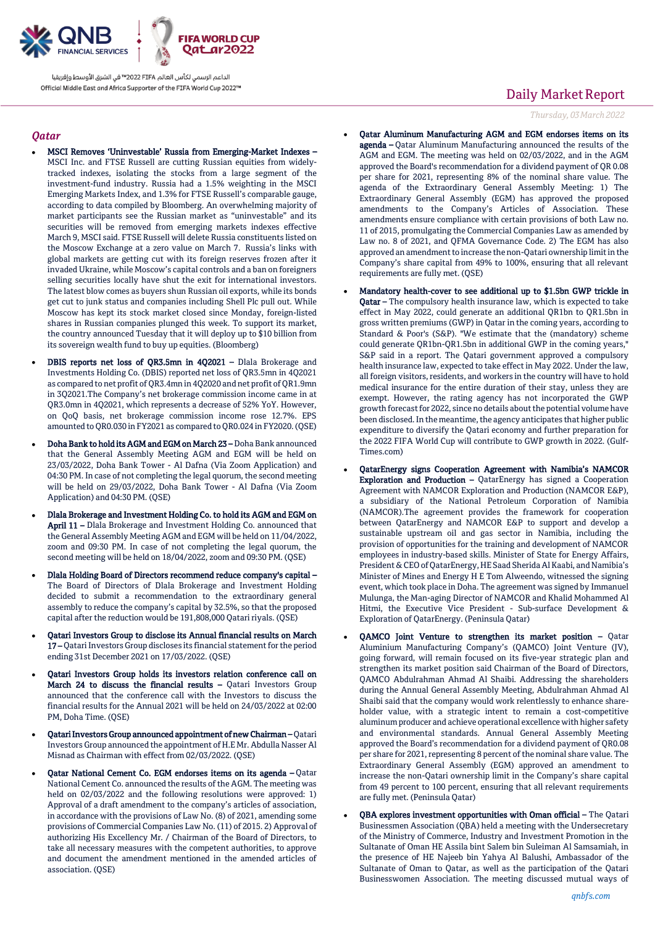

### *Qatar*

- MSCI Removes 'Uninvestable' Russia from Emerging-Market Indexes MSCI Inc. and FTSE Russell are cutting Russian equities from widelytracked indexes, isolating the stocks from a large segment of the investment-fund industry. Russia had a 1.5% weighting in the MSCI Emerging Markets Index, and 1.3% for FTSE Russell's comparable gauge, according to data compiled by Bloomberg. An overwhelming majority of market participants see the Russian market as "uninvestable" and its securities will be removed from emerging markets indexes effective March 9, MSCI said. FTSE Russell will delete Russia constituents listed on the Moscow Exchange at a zero value on March 7. Russia's links with global markets are getting cut with its foreign reserves frozen after it invaded Ukraine, while Moscow's capital controls and a ban on foreigners selling securities locally have shut the exit for international investors. The latest blow comes as buyers shun Russian oil exports, while its bonds get cut to junk status and companies including Shell Plc pull out. While Moscow has kept its stock market closed since Monday, foreign-listed shares in Russian companies plunged this week. To support its market, the country announced Tuesday that it will deploy up to \$10 billion from its sovereign wealth fund to buy up equities. (Bloomberg)
- DBIS reports net loss of QR3.5mn in 4Q2021 Dlala Brokerage and Investments Holding Co. (DBIS) reported net loss of QR3.5mn in 4Q2021 as compared to net profit of QR3.4mn in 4Q2020 and net profit of QR1.9mn in 3Q2021.The Company's net brokerage commission income came in at QR3.0mn in 4Q2021, which represents a decrease of 52% YoY. However, on QoQ basis, net brokerage commission income rose 12.7%. EPS amounted to QR0.030 in FY2021 as compared to QR0.024 in FY2020. (QSE)
- Doha Bank to hold its AGM and EGM on March 23 Doha Bank announced that the General Assembly Meeting AGM and EGM will be held on 23/03/2022, Doha Bank Tower - Al Dafna (Via Zoom Application) and 04:30 PM. In case of not completing the legal quorum, the second meeting will be held on 29/03/2022, Doha Bank Tower - Al Dafna (Via Zoom Application) and 04:30 PM. (QSE)
- Dlala Brokerage and Investment Holding Co. to hold its AGM and EGM on April 11 – Dlala Brokerage and Investment Holding Co. announced that the General Assembly Meeting AGM and EGM will be held on 11/04/2022, zoom and 09:30 PM. In case of not completing the legal quorum, the second meeting will be held on 18/04/2022, zoom and 09:30 PM. (QSE)
- Dlala Holding Board of Directors recommend reduce company's capital The Board of Directors of Dlala Brokerage and Investment Holding decided to submit a recommendation to the extraordinary general assembly to reduce the company's capital by 32.5%, so that the proposed capital after the reduction would be 191,808,000 Qatari riyals. (QSE)
- Qatari Investors Group to disclose its Annual financial results on March 17 – Qatari Investors Group discloses its financial statement for the period ending 31st December 2021 on 17/03/2022. (QSE)
- Qatari Investors Group holds its investors relation conference call on March 24 to discuss the financial results - Qatari Investors Group announced that the conference call with the Investors to discuss the financial results for the Annual 2021 will be held on 24/03/2022 at 02:00 PM, Doha Time. (QSE)
- Qatari Investors Group announced appointment of new Chairman Qatari Investors Group announced the appointment of H.E Mr. Abdulla Nasser Al Misnad as Chairman with effect from 02/03/2022. (QSE)
- Qatar National Cement Co. EGM endorses items on its agenda Qatar National Cement Co. announced the results of the AGM. The meeting was held on 02/03/2022 and the following resolutions were approved: 1) Approval of a draft amendment to the company's articles of association, in accordance with the provisions of Law No. (8) of 2021, amending some provisions of Commercial Companies Law No. (11) of 2015. 2) Approval of authorizing His Excellency Mr. / Chairman of the Board of Directors, to take all necessary measures with the competent authorities, to approve and document the amendment mentioned in the amended articles of association. (QSE)

## Daily Market Report

*Thursday, 03March2022*

- Qatar Aluminum Manufacturing AGM and EGM endorses items on its agenda – Qatar Aluminum Manufacturing announced the results of the AGM and EGM. The meeting was held on 02/03/2022, and in the AGM approved the Board's recommendation for a dividend payment of QR 0.08 per share for 2021, representing 8% of the nominal share value. The agenda of the Extraordinary General Assembly Meeting: 1) The Extraordinary General Assembly (EGM) has approved the proposed amendments to the Company's Articles of Association. These amendments ensure compliance with certain provisions of both Law no. 11 of 2015, promulgating the Commercial Companies Law as amended by Law no. 8 of 2021, and QFMA Governance Code. 2) The EGM has also approved an amendment to increase the non-Qatari ownership limit in the Company's share capital from 49% to 100%, ensuring that all relevant requirements are fully met. (QSE)
- Mandatory health-cover to see additional up to \$1.5bn GWP trickle in Qatar - The compulsory health insurance law, which is expected to take effect in May 2022, could generate an additional QR1bn to QR1.5bn in gross written premiums (GWP) in Qatar in the coming years, according to Standard & Poor's (S&P). "We estimate that the (mandatory) scheme could generate QR1bn-QR1.5bn in additional GWP in the coming years," S&P said in a report. The Qatari government approved a compulsory health insurance law, expected to take effect in May 2022. Under the law, all foreign visitors, residents, and workers in the country will have to hold medical insurance for the entire duration of their stay, unless they are exempt. However, the rating agency has not incorporated the GWP growth forecast for 2022, since no details about the potential volume have been disclosed. In the meantime, the agency anticipates that higher public expenditure to diversify the Qatari economy and further preparation for the 2022 FIFA World Cup will contribute to GWP growth in 2022. (Gulf-Times.com)
- QatarEnergy signs Cooperation Agreement with Namibia's NAMCOR Exploration and Production – QatarEnergy has signed a Cooperation Agreement with NAMCOR Exploration and Production (NAMCOR E&P), a subsidiary of the National Petroleum Corporation of Namibia (NAMCOR).The agreement provides the framework for cooperation between QatarEnergy and NAMCOR E&P to support and develop a sustainable upstream oil and gas sector in Namibia, including the provision of opportunities for the training and development of NAMCOR employees in industry-based skills. Minister of State for Energy Affairs, President & CEO of QatarEnergy, HE Saad Sherida Al Kaabi, and Namibia's Minister of Mines and Energy H E Tom Alweendo, witnessed the signing event, which took place in Doha. The agreement was signed by Immanuel Mulunga, the Man-aging Director of NAMCOR and Khalid Mohammed Al Hitmi, the Executive Vice President - Sub-surface Development & Exploration of QatarEnergy. (Peninsula Qatar)
- QAMCO Joint Venture to strengthen its market position Qatar Aluminium Manufacturing Company's (QAMCO) Joint Venture (JV), going forward, will remain focused on its five-year strategic plan and strengthen its market position said Chairman of the Board of Directors, QAMCO Abdulrahman Ahmad Al Shaibi. Addressing the shareholders during the Annual General Assembly Meeting, Abdulrahman Ahmad Al Shaibi said that the company would work relentlessly to enhance shareholder value, with a strategic intent to remain a cost-competitive aluminum producer and achieve operational excellence with higher safety and environmental standards. Annual General Assembly Meeting approved the Board's recommendation for a dividend payment of QR0.08 per share for 2021, representing 8 percent of the nominal share value. The Extraordinary General Assembly (EGM) approved an amendment to increase the non-Qatari ownership limit in the Company's share capital from 49 percent to 100 percent, ensuring that all relevant requirements are fully met. (Peninsula Qatar)
- QBA explores investment opportunities with Oman official The Qatari Businessmen Association (QBA) held a meeting with the Undersecretary of the Ministry of Commerce, Industry and Investment Promotion in the Sultanate of Oman HE Assila bint Salem bin Suleiman Al Samsamiah, in the presence of HE Najeeb bin Yahya Al Balushi, Ambassador of the Sultanate of Oman to Qatar, as well as the participation of the Qatari Businesswomen Association. The meeting discussed mutual ways of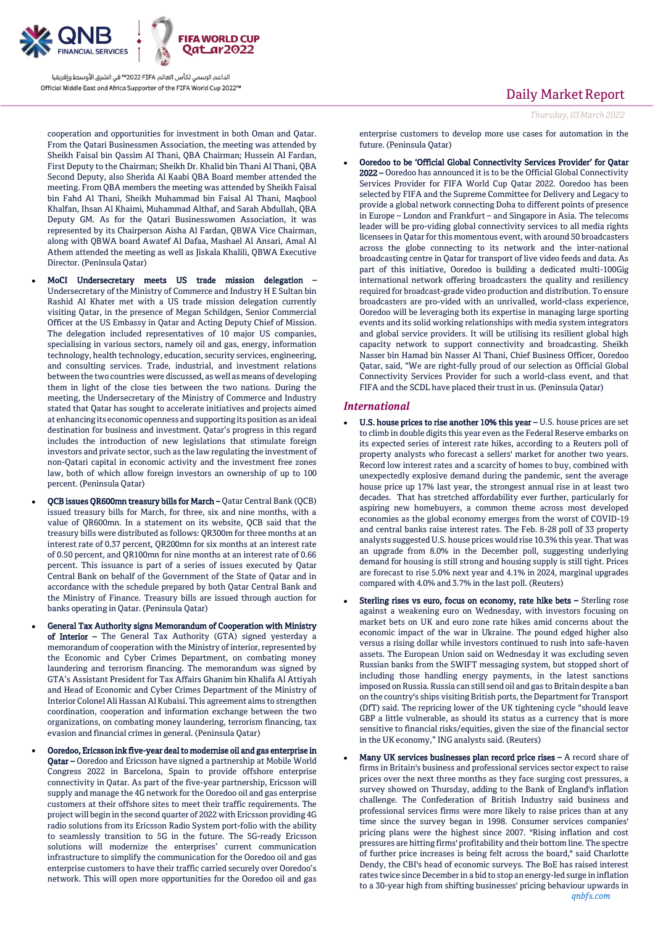

cooperation and opportunities for investment in both Oman and Qatar. From the Qatari Businessmen Association, the meeting was attended by Sheikh Faisal bin Qassim Al Thani, QBA Chairman; Hussein Al Fardan, First Deputy to the Chairman; Sheikh Dr. Khalid bin Thani Al Thani, QBA Second Deputy, also Sherida Al Kaabi QBA Board member attended the meeting. From QBA members the meeting was attended by Sheikh Faisal bin Fahd Al Thani, Sheikh Muhammad bin Faisal Al Thani, Maqbool Khalfan, Ihsan Al Khaimi, Muhammad Althaf, and Sarah Abdullah, QBA Deputy GM. As for the Qatari Businesswomen Association, it was represented by its Chairperson Aisha Al Fardan, QBWA Vice Chairman, along with QBWA board Awatef Al Dafaa, Mashael Al Ansari, Amal Al Athem attended the meeting as well as Jiskala Khalili, QBWA Executive Director. (Peninsula Qatar)

- MoCI Undersecretary meets US trade mission delegation Undersecretary of the Ministry of Commerce and Industry H E Sultan bin Rashid Al Khater met with a US trade mission delegation currently visiting Qatar, in the presence of Megan Schildgen, Senior Commercial Officer at the US Embassy in Qatar and Acting Deputy Chief of Mission. The delegation included representatives of 10 major US companies, specialising in various sectors, namely oil and gas, energy, information technology, health technology, education, security services, engineering, and consulting services. Trade, industrial, and investment relations between the two countries were discussed, as well as means of developing them in light of the close ties between the two nations. During the meeting, the Undersecretary of the Ministry of Commerce and Industry stated that Qatar has sought to accelerate initiatives and projects aimed at enhancing its economic openness and supporting its position as an ideal destination for business and investment. Qatar's progress in this regard includes the introduction of new legislations that stimulate foreign investors and private sector, such as the law regulating the investment of non-Qatari capital in economic activity and the investment free zones law, both of which allow foreign investors an ownership of up to 100 percent. (Peninsula Qatar)
- QCB issues QR600mn treasury bills for March Qatar Central Bank (QCB) issued treasury bills for March, for three, six and nine months, with a value of QR600mn. In a statement on its website, QCB said that the treasury bills were distributed as follows: QR300m for three months at an interest rate of 0.37 percent, QR200mn for six months at an interest rate of 0.50 percent, and QR100mn for nine months at an interest rate of 0.66 percent. This issuance is part of a series of issues executed by Qatar Central Bank on behalf of the Government of the State of Qatar and in accordance with the schedule prepared by both Qatar Central Bank and the Ministry of Finance. Treasury bills are issued through auction for banks operating in Qatar. (Peninsula Qatar)
- General Tax Authority signs Memorandum of Cooperation with Ministry of Interior – The General Tax Authority (GTA) signed yesterday a memorandum of cooperation with the Ministry of interior, represented by the Economic and Cyber Crimes Department, on combating money laundering and terrorism financing. The memorandum was signed by GTA's Assistant President for Tax Affairs Ghanim bin Khalifa Al Attiyah and Head of Economic and Cyber Crimes Department of the Ministry of Interior Colonel Ali Hassan Al Kubaisi. This agreement aims to strengthen coordination, cooperation and information exchange between the two organizations, on combating money laundering, terrorism financing, tax evasion and financial crimes in general. (Peninsula Qatar)
- Ooredoo, Ericsson ink five-year deal to modernise oil and gas enterprise in Qatar – Ooredoo and Ericsson have signed a partnership at Mobile World Congress 2022 in Barcelona, Spain to provide offshore enterprise connectivity in Qatar. As part of the five-year partnership, Ericsson will supply and manage the 4G network for the Ooredoo oil and gas enterprise customers at their offshore sites to meet their traffic requirements. The project will begin in the second quarter of 2022 with Ericsson providing 4G radio solutions from its Ericsson Radio System port-folio with the ability to seamlessly transition to 5G in the future. The 5G-ready Ericsson solutions will modernize the enterprises' current communication infrastructure to simplify the communication for the Ooredoo oil and gas enterprise customers to have their traffic carried securely over Ooredoo's network. This will open more opportunities for the Ooredoo oil and gas

## Daily Market Report

*Thursday, 03March2022*

enterprise customers to develop more use cases for automation in the future. (Peninsula Qatar)

 Ooredoo to be 'Official Global Connectivity Services Provider' for Qatar 2022 – Ooredoo has announced it is to be the Official Global Connectivity Services Provider for FIFA World Cup Qatar 2022. Ooredoo has been selected by FIFA and the Supreme Committee for Delivery and Legacy to provide a global network connecting Doha to different points of presence in Europe – London and Frankfurt – and Singapore in Asia. The telecoms leader will be pro-viding global connectivity services to all media rights licensees in Qatar for this momentous event, with around 50 broadcasters across the globe connecting to its network and the inter-national broadcasting centre in Qatar for transport of live video feeds and data. As part of this initiative, Ooredoo is building a dedicated multi-100Gig international network offering broadcasters the quality and resiliency required for broadcast-grade video production and distribution. To ensure broadcasters are pro-vided with an unrivalled, world-class experience, Ooredoo will be leveraging both its expertise in managing large sporting events and its solid working relationships with media system integrators and global service providers. It will be utilising its resilient global high capacity network to support connectivity and broadcasting. Sheikh Nasser bin Hamad bin Nasser Al Thani, Chief Business Officer, Ooredoo Qatar, said, "We are right-fully proud of our selection as Official Global Connectivity Services Provider for such a world-class event, and that FIFA and the SCDL have placed their trust in us. (Peninsula Qatar)

### *International*

- U.S. house prices to rise another 10% this year U.S. house prices are set to climb in double digits this year even as the Federal Reserve embarks on its expected series of interest rate hikes, according to a Reuters poll of property analysts who forecast a sellers' market for another two years. Record low interest rates and a scarcity of homes to buy, combined with unexpectedly explosive demand during the pandemic, sent the average house price up 17% last year, the strongest annual rise in at least two decades. That has stretched affordability ever further, particularly for aspiring new homebuyers, a common theme across most developed economies as the global economy emerges from the worst of COVID-19 and central banks raise interest rates. The Feb. 8-28 poll of 33 property analysts suggested U.S. house prices would rise 10.3% this year. That was an upgrade from 8.0% in the December poll, suggesting underlying demand for housing is still strong and housing supply is still tight. Prices are forecast to rise 5.0% next year and 4.1% in 2024, marginal upgrades compared with 4.0% and 3.7% in the last poll. (Reuters)
- Sterling rises vs euro, focus on economy, rate hike bets Sterling rose against a weakening euro on Wednesday, with investors focusing on market bets on UK and euro zone rate hikes amid concerns about the economic impact of the war in Ukraine. The pound edged higher also versus a rising dollar while investors continued to rush into safe-haven assets. The European Union said on Wednesday it was excluding seven Russian banks from the SWIFT messaging system, but stopped short of including those handling energy payments, in the latest sanctions imposed on Russia. Russia can still send oil and gas to Britain despite a ban on the country's ships visiting British ports, the Department for Transport (DfT) said. The repricing lower of the UK tightening cycle "should leave GBP a little vulnerable, as should its status as a currency that is more sensitive to financial risks/equities, given the size of the financial sector in the UK economy," ING analysts said. (Reuters)
- Many UK services businesses plan record price rises A record share of firms in Britain's business and professional services sector expect to raise prices over the next three months as they face surging cost pressures, a survey showed on Thursday, adding to the Bank of England's inflation challenge. The Confederation of British Industry said business and professional services firms were more likely to raise prices than at any time since the survey began in 1998. Consumer services companies' pricing plans were the highest since 2007. "Rising inflation and cost pressures are hitting firms' profitability and their bottom line. The spectre of further price increases is being felt across the board," said Charlotte Dendy, the CBI's head of economic surveys. The BoE has raised interest rates twice since December in a bid to stop an energy-led surge in inflation to a 30-year high from shifting businesses' pricing behaviour upwards in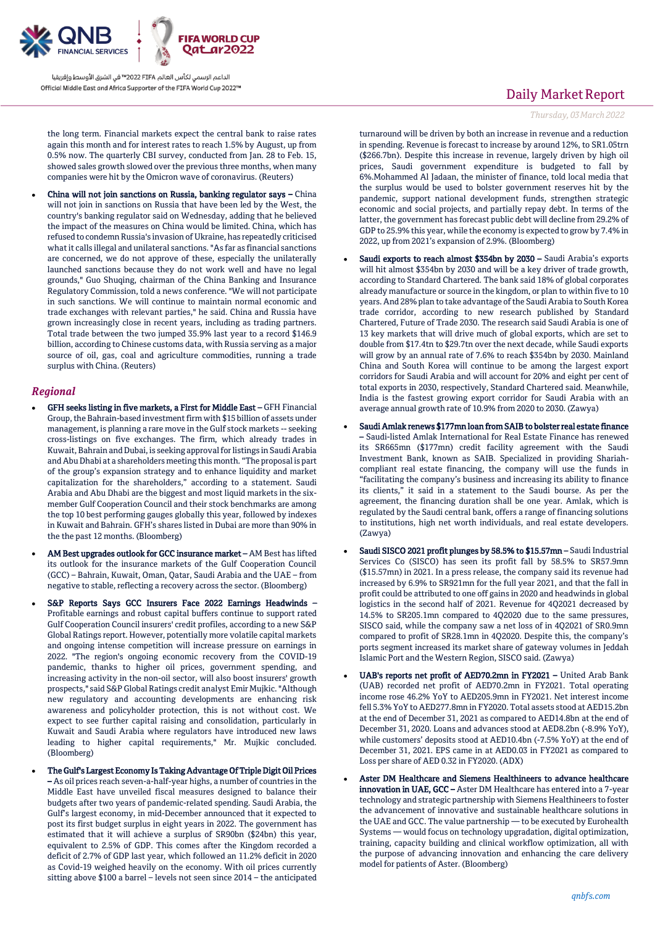

the long term. Financial markets expect the central bank to raise rates again this month and for interest rates to reach 1.5% by August, up from 0.5% now. The quarterly CBI survey, conducted from Jan. 28 to Feb. 15, showed sales growth slowed over the previous three months, when many companies were hit by the Omicron wave of coronavirus. (Reuters)

 China will not join sanctions on Russia, banking regulator says – China will not join in sanctions on Russia that have been led by the West, the country's banking regulator said on Wednesday, adding that he believed the impact of the measures on China would be limited. China, which has refused to condemn Russia's invasion of Ukraine, has repeatedly criticised what it calls illegal and unilateral sanctions. "As far as financial sanctions are concerned, we do not approve of these, especially the unilaterally launched sanctions because they do not work well and have no legal grounds," Guo Shuqing, chairman of the China Banking and Insurance Regulatory Commission, told a news conference. "We will not participate in such sanctions. We will continue to maintain normal economic and trade exchanges with relevant parties," he said. China and Russia have grown increasingly close in recent years, including as trading partners. Total trade between the two jumped 35.9% last year to a record \$146.9 billion, according to Chinese customs data, with Russia serving as a major source of oil, gas, coal and agriculture commodities, running a trade surplus with China. (Reuters)

### *Regional*

- GFH seeks listing in five markets, a First for Middle East GFH Financial Group, the Bahrain-based investment firm with \$15 billion of assets under management, is planning a rare move in the Gulf stock markets -- seeking cross-listings on five exchanges. The firm, which already trades in Kuwait, Bahrain and Dubai, is seeking approval for listings in Saudi Arabia and Abu Dhabi at a shareholders meeting this month. "The proposal is part of the group's expansion strategy and to enhance liquidity and market capitalization for the shareholders," according to a statement. Saudi Arabia and Abu Dhabi are the biggest and most liquid markets in the sixmember Gulf Cooperation Council and their stock benchmarks are among the top 10 best performing gauges globally this year, followed by indexes in Kuwait and Bahrain. GFH's shares listed in Dubai are more than 90% in the the past 12 months. (Bloomberg)
- AM Best upgrades outlook for GCC insurance market AM Best has lifted its outlook for the insurance markets of the Gulf Cooperation Council (GCC) – Bahrain, Kuwait, Oman, Qatar, Saudi Arabia and the UAE – from negative to stable, reflecting a recovery across the sector. (Bloomberg)
- S&P Reports Says GCC Insurers Face 2022 Earnings Headwinds Profitable earnings and robust capital buffers continue to support rated Gulf Cooperation Council insurers' credit profiles, according to a new S&P Global Ratings report. However, potentially more volatile capital markets and ongoing intense competition will increase pressure on earnings in 2022. "The region's ongoing economic recovery from the COVID-19 pandemic, thanks to higher oil prices, government spending, and increasing activity in the non-oil sector, will also boost insurers' growth prospects," said S&P Global Ratings credit analyst Emir Mujkic. "Although new regulatory and accounting developments are enhancing risk awareness and policyholder protection, this is not without cost. We expect to see further capital raising and consolidation, particularly in Kuwait and Saudi Arabia where regulators have introduced new laws leading to higher capital requirements," Mr. Mujkic concluded. (Bloomberg)
- The Gulf's Largest Economy Is Taking Advantage Of Triple Digit Oil Prices – As oil prices reach seven-a-half-year highs, a number of countries in the Middle East have unveiled fiscal measures designed to balance their budgets after two years of pandemic-related spending. Saudi Arabia, the Gulf's largest economy, in mid-December announced that it expected to post its first budget surplus in eight years in 2022. The government has estimated that it will achieve a surplus of SR90bn (\$24bn) this year, equivalent to 2.5% of GDP. This comes after the Kingdom recorded a deficit of 2.7% of GDP last year, which followed an 11.2% deficit in 2020 as Covid-19 weighed heavily on the economy. With oil prices currently sitting above \$100 a barrel – levels not seen since 2014 – the anticipated

## Daily Market Report

### *Thursday, 03March2022*

turnaround will be driven by both an increase in revenue and a reduction in spending. Revenue is forecast to increase by around 12%, to SR1.05trn (\$266.7bn). Despite this increase in revenue, largely driven by high oil prices, Saudi government expenditure is budgeted to fall by 6%.Mohammed Al Jadaan, the minister of finance, told local media that the surplus would be used to bolster government reserves hit by the pandemic, support national development funds, strengthen strategic economic and social projects, and partially repay debt. In terms of the latter, the government has forecast public debt will decline from 29.2% of GDP to 25.9% this year, while the economy is expected to grow by 7.4% in 2022, up from 2021's expansion of 2.9%. (Bloomberg)

- Saudi exports to reach almost \$354bn by 2030 Saudi Arabia's exports will hit almost \$354bn by 2030 and will be a key driver of trade growth, according to Standard Chartered. The bank said 18% of global corporates already manufacture or source in the kingdom, or plan to within five to 10 years. And 28% plan to take advantage of the Saudi Arabia to South Korea trade corridor, according to new research published by Standard Chartered, Future of Trade 2030. The research said Saudi Arabia is one of 13 key markets that will drive much of global exports, which are set to double from \$17.4tn to \$29.7tn over the next decade, while Saudi exports will grow by an annual rate of 7.6% to reach \$354bn by 2030. Mainland China and South Korea will continue to be among the largest export corridors for Saudi Arabia and will account for 20% and eight per cent of total exports in 2030, respectively, Standard Chartered said. Meanwhile, India is the fastest growing export corridor for Saudi Arabia with an average annual growth rate of 10.9% from 2020 to 2030. (Zawya)
- Saudi Amlak renews \$177mn loan from SAIB to bolster real estate finance – Saudi-listed Amlak International for Real Estate Finance has renewed its SR665mn (\$177mn) credit facility agreement with the Saudi Investment Bank, known as SAIB. Specialized in providing Shariahcompliant real estate financing, the company will use the funds in "facilitating the company's business and increasing its ability to finance its clients," it said in a statement to the Saudi bourse. As per the agreement, the financing duration shall be one year. Amlak, which is regulated by the Saudi central bank, offers a range of financing solutions to institutions, high net worth individuals, and real estate developers. (Zawya)
- Saudi SISCO 2021 profit plunges by 58.5% to \$15.57mn Saudi Industrial Services Co (SISCO) has seen its profit fall by 58.5% to SR57.9mn (\$15.57mn) in 2021. In a press release, the company said its revenue had increased by 6.9% to SR921mn for the full year 2021, and that the fall in profit could be attributed to one off gains in 2020 and headwinds in global logistics in the second half of 2021. Revenue for 4Q2021 decreased by 14.5% to SR205.1mn compared to 4Q2020 due to the same pressures, SISCO said, while the company saw a net loss of in 4Q2021 of SR0.9mn compared to profit of SR28.1mn in 4Q2020. Despite this, the company's ports segment increased its market share of gateway volumes in Jeddah Islamic Port and the Western Region, SISCO said. (Zawya)
- UAB's reports net profit of AED70.2mn in FY2021 United Arab Bank (UAB) recorded net profit of AED70.2mn in FY2021. Total operating income rose 46.2% YoY to AED205.9mn in FY2021. Net interest income fell 5.3% YoY to AED277.8mn in FY2020. Total assets stood at AED15.2bn at the end of December 31, 2021 as compared to AED14.8bn at the end of December 31, 2020. Loans and advances stood at AED8.2bn (-8.9% YoY), while customers' deposits stood at AED10.4bn (-7.5% YoY) at the end of December 31, 2021. EPS came in at AED0.03 in FY2021 as compared to Loss per share of AED 0.32 in FY2020. (ADX)
- Aster DM Healthcare and Siemens Healthineers to advance healthcare innovation in UAE, GCC – Aster DM Healthcare has entered into a 7-year technology and strategic partnership with Siemens Healthineers to foster the advancement of innovative and sustainable healthcare solutions in the UAE and GCC. The value partnership — to be executed by Eurohealth Systems — would focus on technology upgradation, digital optimization, training, capacity building and clinical workflow optimization, all with the purpose of advancing innovation and enhancing the care delivery model for patients of Aster. (Bloomberg)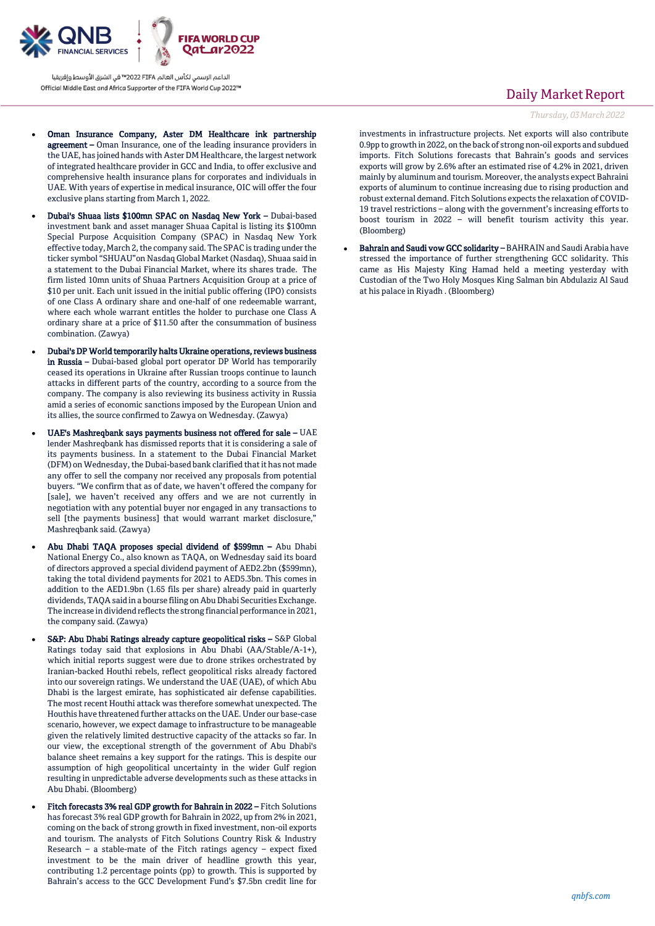

- Oman Insurance Company, Aster DM Healthcare ink partnership agreement – Oman Insurance, one of the leading insurance providers in the UAE, has joined hands with Aster DM Healthcare, the largest network of integrated healthcare provider in GCC and India, to offer exclusive and comprehensive health insurance plans for corporates and individuals in UAE. With years of expertise in medical insurance, OIC will offer the four exclusive plans starting from March 1, 2022.
- Dubai's Shuaa lists \$100mn SPAC on Nasdaq New York Dubai-based investment bank and asset manager Shuaa Capital is listing its \$100mn Special Purpose Acquisition Company (SPAC) in Nasdaq New York effective today, March 2, the company said. The SPAC is trading under the ticker symbol "SHUAU"on Nasdaq Global Market (Nasdaq), Shuaa said in a statement to the Dubai Financial Market, where its shares trade. The firm listed 10mn units of Shuaa Partners Acquisition Group at a price of \$10 per unit. Each unit issued in the initial public offering (IPO) consists of one Class A ordinary share and one-half of one redeemable warrant, where each whole warrant entitles the holder to purchase one Class A ordinary share at a price of \$11.50 after the consummation of business combination. (Zawya)
- Dubai's DP World temporarily halts Ukraine operations, reviews business in Russia – Dubai-based global port operator DP World has temporarily ceased its operations in Ukraine after Russian troops continue to launch attacks in different parts of the country, according to a source from the company. The company is also reviewing its business activity in Russia amid a series of economic sanctions imposed by the European Union and its allies, the source confirmed to Zawya on Wednesday. (Zawya)
- UAE's Mashreqbank says payments business not offered for sale UAE lender Mashreqbank has dismissed reports that it is considering a sale of its payments business. In a statement to the Dubai Financial Market (DFM) on Wednesday, the Dubai-based bank clarified that it has not made any offer to sell the company nor received any proposals from potential buyers. "We confirm that as of date, we haven't offered the company for [sale], we haven't received any offers and we are not currently in negotiation with any potential buyer nor engaged in any transactions to sell [the payments business] that would warrant market disclosure," Mashreqbank said. (Zawya)
- Abu Dhabi TAQA proposes special dividend of \$599mn Abu Dhabi National Energy Co., also known as TAQA, on Wednesday said its board of directors approved a special dividend payment of AED2.2bn (\$599mn), taking the total dividend payments for 2021 to AED5.3bn. This comes in addition to the AED1.9bn (1.65 fils per share) already paid in quarterly dividends, TAQA said in a bourse filing on Abu Dhabi Securities Exchange. The increase in dividend reflects the strong financial performance in 2021, the company said. (Zawya)
- S&P: Abu Dhabi Ratings already capture geopolitical risks S&P Global Ratings today said that explosions in Abu Dhabi (AA/Stable/A-1+), which initial reports suggest were due to drone strikes orchestrated by Iranian-backed Houthi rebels, reflect geopolitical risks already factored into our sovereign ratings. We understand the UAE (UAE), of which Abu Dhabi is the largest emirate, has sophisticated air defense capabilities. The most recent Houthi attack was therefore somewhat unexpected. The Houthis have threatened further attacks on the UAE. Under our base-case scenario, however, we expect damage to infrastructure to be manageable given the relatively limited destructive capacity of the attacks so far. In our view, the exceptional strength of the government of Abu Dhabi's balance sheet remains a key support for the ratings. This is despite our assumption of high geopolitical uncertainty in the wider Gulf region resulting in unpredictable adverse developments such as these attacks in Abu Dhabi. (Bloomberg)
- Fitch forecasts 3% real GDP growth for Bahrain in 2022 Fitch Solutions has forecast 3% real GDP growth for Bahrain in 2022, up from 2% in 2021, coming on the back of strong growth in fixed investment, non-oil exports and tourism. The analysts of Fitch Solutions Country Risk & Industry Research – a stable-mate of the Fitch ratings agency – expect fixed investment to be the main driver of headline growth this year, contributing 1.2 percentage points (pp) to growth. This is supported by Bahrain's access to the GCC Development Fund's \$7.5bn credit line for

## Daily Market Report

### *Thursday, 03March2022*

investments in infrastructure projects. Net exports will also contribute 0.9pp to growth in 2022, on the back of strong non-oil exports and subdued imports. Fitch Solutions forecasts that Bahrain's goods and services exports will grow by 2.6% after an estimated rise of 4.2% in 2021, driven mainly by aluminum and tourism. Moreover, the analysts expect Bahraini exports of aluminum to continue increasing due to rising production and robust external demand. Fitch Solutions expects the relaxation of COVID-19 travel restrictions – along with the government's increasing efforts to boost tourism in 2022 – will benefit tourism activity this year. (Bloomberg)

 Bahrain and Saudi vow GCC solidarity – BAHRAIN and Saudi Arabia have stressed the importance of further strengthening GCC solidarity. This came as His Majesty King Hamad held a meeting yesterday with Custodian of the Two Holy Mosques King Salman bin Abdulaziz Al Saud at his palace in Riyadh . (Bloomberg)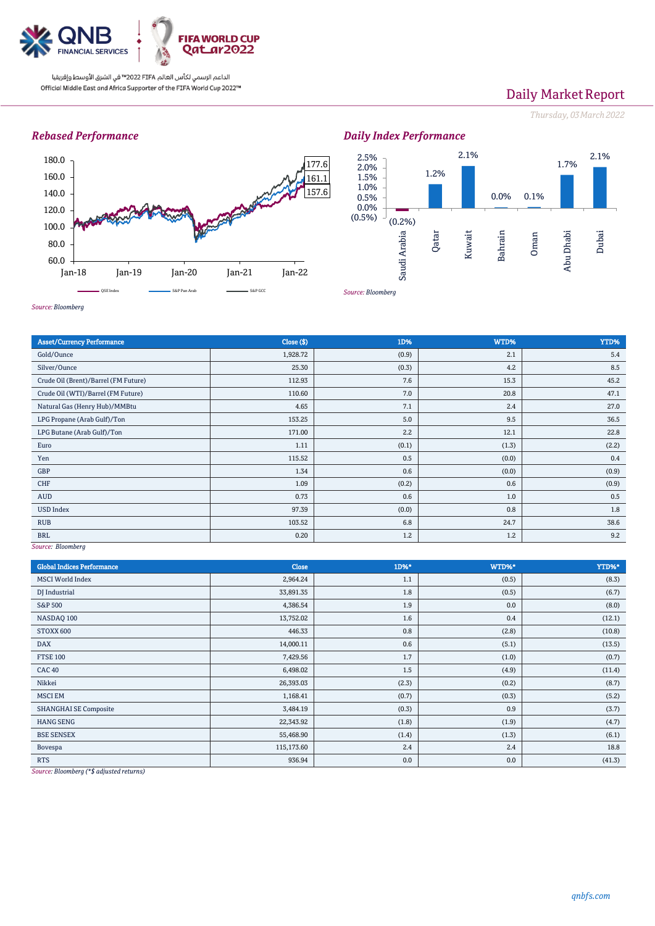

# Daily Market Report

*Thursday, 03March2022*

### *Rebased Performance*







*Source: Bloomberg*

| <b>Asset/Currency Performance</b>                     | Close (\$) | 1D%   | WTD%  | YTD%  |  |  |
|-------------------------------------------------------|------------|-------|-------|-------|--|--|
| Gold/Ounce                                            | 1,928.72   | (0.9) | 2.1   | 5.4   |  |  |
| Silver/Ounce                                          | 25.30      | (0.3) | 4.2   | 8.5   |  |  |
| Crude Oil (Brent)/Barrel (FM Future)                  | 112.93     | 7.6   | 15.3  | 45.2  |  |  |
| Crude Oil (WTI)/Barrel (FM Future)                    | 110.60     | 7.0   | 20.8  | 47.1  |  |  |
| Natural Gas (Henry Hub)/MMBtu                         | 4.65       | 7.1   | 2.4   | 27.0  |  |  |
| LPG Propane (Arab Gulf)/Ton                           | 153.25     | 5.0   | 9.5   | 36.5  |  |  |
| LPG Butane (Arab Gulf)/Ton                            | 171.00     | 2.2   | 12.1  | 22.8  |  |  |
| Euro                                                  | 1.11       | (0.1) | (1.3) | (2.2) |  |  |
| Yen                                                   | 115.52     | 0.5   | (0.0) | 0.4   |  |  |
| GBP                                                   | 1.34       | 0.6   | (0.0) | (0.9) |  |  |
| <b>CHF</b>                                            | 1.09       | (0.2) | 0.6   | (0.9) |  |  |
| AUD                                                   | 0.73       | 0.6   | 1.0   | 0.5   |  |  |
| <b>USD Index</b>                                      | 97.39      | (0.0) | 0.8   | 1.8   |  |  |
| <b>RUB</b>                                            | 103.52     | 6.8   | 24.7  | 38.6  |  |  |
| <b>BRL</b>                                            | 0.20       | 1.2   | 1.2   | 9.2   |  |  |
| $C_{\alpha\mu\nu\rho\alpha}$ , D <sub>laam</sub> hove |            |       |       |       |  |  |

*Source: Bloomberg*

*Source: Bloomberg*

| <b>Global Indices Performance</b>                                                                                                                                                                                                            | Close      | 1D%*  | WTD%* | YTD%*  |
|----------------------------------------------------------------------------------------------------------------------------------------------------------------------------------------------------------------------------------------------|------------|-------|-------|--------|
| <b>MSCI World Index</b>                                                                                                                                                                                                                      | 2,964.24   | 1.1   | (0.5) | (8.3)  |
| DJ Industrial                                                                                                                                                                                                                                | 33,891.35  | 1.8   | (0.5) | (6.7)  |
| <b>S&amp;P 500</b>                                                                                                                                                                                                                           | 4,386.54   | 1.9   | 0.0   | (8.0)  |
| NASDAQ 100                                                                                                                                                                                                                                   | 13,752.02  | 1.6   | 0.4   | (12.1) |
| STOXX 600                                                                                                                                                                                                                                    | 446.33     | 0.8   | (2.8) | (10.8) |
| <b>DAX</b>                                                                                                                                                                                                                                   | 14,000.11  | 0.6   | (5.1) | (13.5) |
| <b>FTSE 100</b>                                                                                                                                                                                                                              | 7,429.56   | 1.7   | (1.0) | (0.7)  |
| <b>CAC 40</b>                                                                                                                                                                                                                                | 6,498.02   | 1.5   | (4.9) | (11.4) |
| Nikkei                                                                                                                                                                                                                                       | 26,393.03  | (2.3) | (0.2) | (8.7)  |
| <b>MSCI EM</b>                                                                                                                                                                                                                               | 1,168.41   | (0.7) | (0.3) | (5.2)  |
| <b>SHANGHAI SE Composite</b>                                                                                                                                                                                                                 | 3,484.19   | (0.3) | 0.9   | (3.7)  |
| <b>HANG SENG</b>                                                                                                                                                                                                                             | 22,343.92  | (1.8) | (1.9) | (4.7)  |
| <b>BSE SENSEX</b>                                                                                                                                                                                                                            | 55,468.90  | (1.4) | (1.3) | (6.1)  |
| Bovespa                                                                                                                                                                                                                                      | 115,173.60 | 2.4   | 2.4   | 18.8   |
| <b>RTS</b><br>the state of the state of the state of the state of the state of the state of the state of the state of the state of the state of the state of the state of the state of the state of the state of the state of the state of t | 936.94     | 0.0   | 0.0   | (41.3) |

*Source: Bloomberg (\*\$ adjusted returns)*